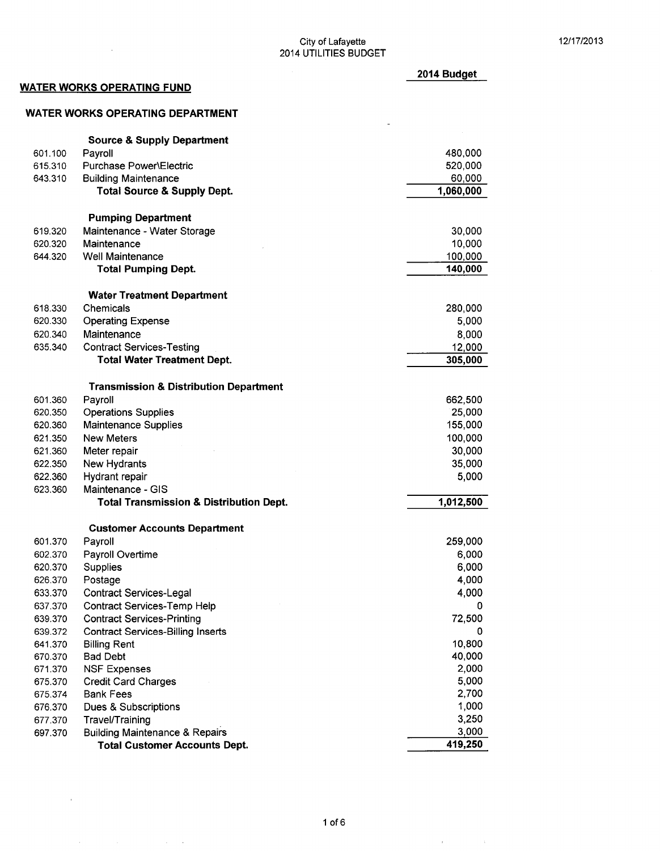### $\frac{12}{17}{2013}$ 2014 UTILITIES BUDGET

 $\overline{a}$ 

2014 Budget

# WATER WORKS OPERATING FUND

 $\hat{\mathbf{v}}$ 

 $\label{eq:2.1} \mathcal{A}(\mathcal{A})=\mathcal{A}(\mathcal{A})\mathcal{A}(\mathcal{A})=\mathcal{A}(\mathcal{A})\mathcal{A}(\mathcal{A})$ 

 $\sim$ 

### WATER WORKS OPERATING DEPARTMENT

|         | <b>Source &amp; Supply Department</b>              |           |
|---------|----------------------------------------------------|-----------|
| 601.100 | Payroll                                            | 480,000   |
| 615.310 | Purchase Power\Electric                            | 520,000   |
| 643.310 | <b>Building Maintenance</b>                        | 60,000    |
|         | <b>Total Source &amp; Supply Dept.</b>             | 1,060,000 |
|         | <b>Pumping Department</b>                          |           |
| 619.320 | Maintenance - Water Storage                        | 30,000    |
| 620.320 | Maintenance                                        | 10,000    |
| 644.320 | <b>Well Maintenance</b>                            | 100,000   |
|         | <b>Total Pumping Dept.</b>                         | 140,000   |
|         |                                                    |           |
|         | <b>Water Treatment Department</b>                  |           |
| 618.330 | Chemicals                                          | 280,000   |
| 620.330 | <b>Operating Expense</b>                           | 5,000     |
| 620.340 | Maintenance                                        | 8,000     |
| 635.340 | <b>Contract Services-Testing</b>                   | 12,000    |
|         | <b>Total Water Treatment Dept.</b>                 | 305,000   |
|         | <b>Transmission &amp; Distribution Department</b>  |           |
| 601.360 | Payroll                                            | 662,500   |
| 620.350 | <b>Operations Supplies</b>                         | 25,000    |
| 620.360 | <b>Maintenance Supplies</b>                        | 155,000   |
| 621.350 | <b>New Meters</b>                                  | 100,000   |
| 621.360 | Meter repair                                       | 30,000    |
| 622.350 | New Hydrants                                       | 35,000    |
| 622.360 | Hydrant repair                                     | 5,000     |
| 623.360 | Maintenance - GIS                                  |           |
|         | <b>Total Transmission &amp; Distribution Dept.</b> | 1,012,500 |
|         |                                                    |           |
|         | <b>Customer Accounts Department</b>                |           |
| 601.370 | Payroll                                            | 259,000   |
| 602.370 | Payroll Overtime                                   | 6,000     |
| 620.370 | Supplies                                           | 6,000     |
| 626.370 | Postage                                            | 4,000     |
| 633.370 | <b>Contract Services-Legal</b>                     | 4,000     |
| 637.370 | <b>Contract Services-Temp Help</b>                 | 0         |
| 639.370 | <b>Contract Services-Printing</b>                  | 72,500    |
| 639.372 | <b>Contract Services-Billing Inserts</b>           | 0         |
| 641.370 | <b>Billing Rent</b>                                | 10,800    |
| 670.370 | <b>Bad Debt</b>                                    | 40,000    |
| 671.370 | <b>NSF Expenses</b>                                | 2,000     |
| 675.370 | <b>Credit Card Charges</b>                         | 5,000     |
| 675.374 | <b>Bank Fees</b>                                   | 2,700     |
| 676.370 | Dues & Subscriptions                               | 1,000     |
| 677.370 | Travel/Training                                    | 3,250     |
| 697.370 | <b>Building Maintenance &amp; Repairs</b>          | 3,000     |
|         | <b>Total Customer Accounts Dept.</b>               | 419,250   |

 $\mathbf{u}^{\dagger}$  and  $\mathbf{u}^{\dagger}$  and  $\mathbf{u}^{\dagger}$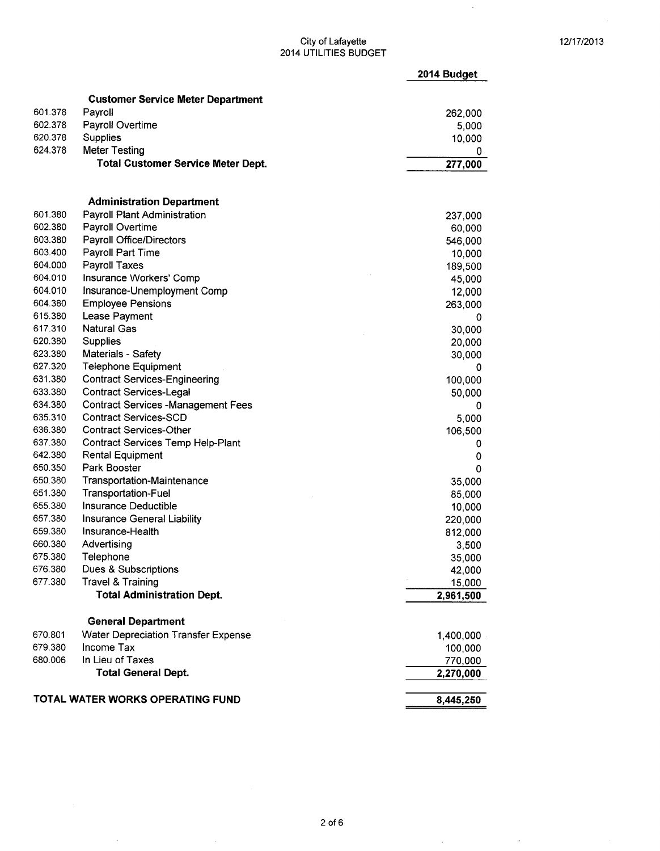$\hat{\mathcal{A}}$ 

### City of Lafayette **12/17/2013** 2014 UTILITIES BUDGET

|         |                                            | 2014 Budget |
|---------|--------------------------------------------|-------------|
|         | <b>Customer Service Meter Department</b>   |             |
| 601.378 | Payroll                                    | 262,000     |
| 602.378 | Payroll Overtime                           | 5,000       |
| 620.378 | Supplies                                   | 10,000      |
| 624.378 | <b>Meter Testing</b>                       | 0           |
|         | <b>Total Customer Service Meter Dept.</b>  | 277,000     |
|         |                                            |             |
|         | <b>Administration Department</b>           |             |
| 601.380 | Payroll Plant Administration               | 237,000     |
| 602.380 | Payroll Overtime                           | 60,000      |
| 603.380 | Payroll Office/Directors                   | 546,000     |
| 603.400 | Payroll Part Time                          | 10,000      |
| 604.000 | <b>Payroll Taxes</b>                       | 189,500     |
| 604.010 | Insurance Workers' Comp                    | 45,000      |
| 604.010 | Insurance-Unemployment Comp                | 12,000      |
| 604.380 | <b>Employee Pensions</b>                   | 263,000     |
| 615.380 | Lease Payment                              | 0           |
| 617.310 | <b>Natural Gas</b>                         | 30,000      |
| 620.380 | Supplies                                   | 20,000      |
| 623.380 | Materials - Safety                         | 30,000      |
| 627.320 | <b>Telephone Equipment</b>                 | 0           |
| 631.380 | <b>Contract Services-Engineering</b>       | 100,000     |
| 633.380 | <b>Contract Services-Legal</b>             | 50,000      |
| 634.380 | <b>Contract Services -Management Fees</b>  | 0           |
| 635.310 | <b>Contract Services-SCD</b>               | 5,000       |
| 636.380 | <b>Contract Services-Other</b>             | 106,500     |
| 637.380 | Contract Services Temp Help-Plant          | 0           |
| 642.380 | <b>Rental Equipment</b>                    | 0           |
| 650.350 | Park Booster                               | 0           |
| 650.380 | <b>Transportation-Maintenance</b>          | 35,000      |
| 651.380 | Transportation-Fuel                        | 85,000      |
| 655.380 | Insurance Deductible                       | 10,000      |
| 657.380 | Insurance General Liability                | 220,000     |
| 659.380 | Insurance-Health                           | 812,000     |
| 660.380 | Advertising                                | 3,500       |
| 675.380 | Telephone                                  | 35,000      |
| 676.380 | Dues & Subscriptions                       | 42,000      |
| 677.380 | Travel & Training                          | 15,000      |
|         | <b>Total Administration Dept.</b>          | 2,961,500   |
|         | <b>General Department</b>                  |             |
| 670.801 | <b>Water Depreciation Transfer Expense</b> | 1,400,000   |
| 679.380 | Income Tax                                 | 100,000     |
| 680.006 | In Lieu of Taxes                           | 770,000     |
|         | <b>Total General Dept.</b>                 | 2,270,000   |
|         | TOTAL WATER WORKS OPERATING FUND           | 8,445,250   |

 $\hat{\vec{r}}$ 

 $\bar{\alpha}$ 

 $\hat{\boldsymbol{\beta}}$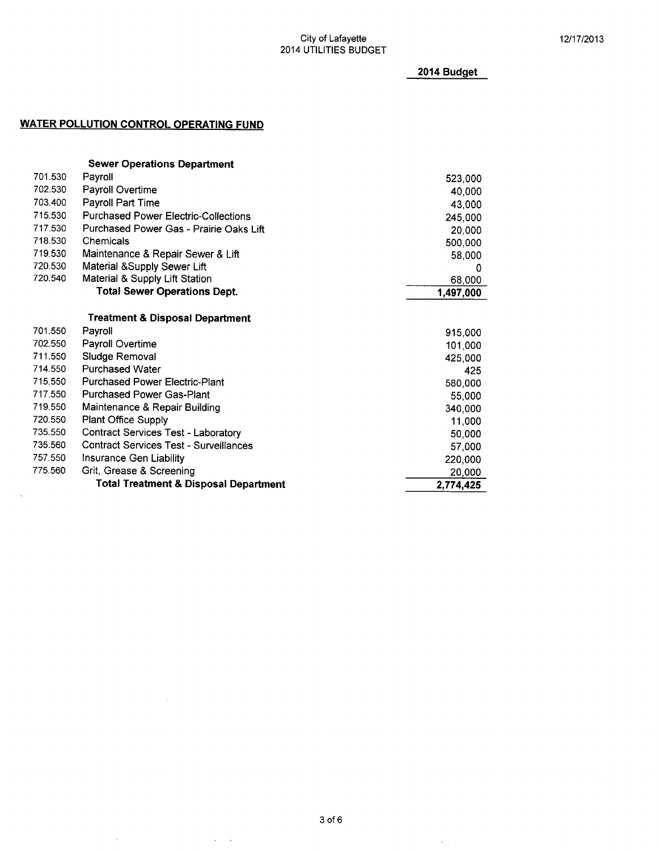2014 Budget

### WATER POLLUTION CONTROL OPERATING FUND

 $\bar{\alpha}$ 

 $\hat{\alpha}$  and  $\hat{\alpha}$ 

 $\bar{\mathcal{A}}$ 

|         | <b>Sewer Operations Department</b>                                        |           |
|---------|---------------------------------------------------------------------------|-----------|
| 701.530 | Payroll                                                                   | 523,000   |
| 702.530 | Payroll Overtime                                                          | 40,000    |
| 703.400 | <b>Payroll Part Time</b>                                                  | 43,000    |
| 715.530 | <b>Purchased Power Electric-Collections</b>                               | 245,000   |
| 717.530 | Purchased Power Gas - Prairie Oaks Lift                                   | 20,000    |
| 718.530 | Chemicals                                                                 | 500,000   |
| 719.530 | Maintenance & Repair Sewer & Lift                                         | 58,000    |
| 720.530 | Material & Supply Sewer Lift                                              | 0         |
| 720.540 | Material & Supply Lift Station                                            | 68,000    |
|         | <b>Total Sewer Operations Dept.</b>                                       | 1,497,000 |
|         | Treatment & Disposal Department                                           |           |
| 701.550 | Payroll                                                                   |           |
| 702.550 |                                                                           | 915,000   |
| 711.550 | Payroll Overtime                                                          | 101,000   |
| 714.550 | Sludge Removal<br><b>Purchased Water</b>                                  | 425,000   |
| 715.550 |                                                                           | 425       |
| 717.550 | <b>Purchased Power Electric-Plant</b><br><b>Purchased Power Gas-Plant</b> | 580,000   |
| 719.550 |                                                                           | 55,000    |
| 720.550 | Maintenance & Repair Building                                             | 340,000   |
|         | <b>Plant Office Supply</b>                                                | 11,000    |
| 735.550 | <b>Contract Services Test - Laboratory</b>                                | 50,000    |
| 735.560 | <b>Contract Services Test - Surveillances</b>                             | 57,000    |
| 757.550 | Insurance Gen Liability                                                   | 220,000   |
| 775.560 | Grit, Grease & Screening                                                  | 20,000    |
|         | <b>Total Treatment &amp; Disposal Department</b>                          | 2,774,425 |

 $\mathcal{A}^{\mathcal{A}}$  and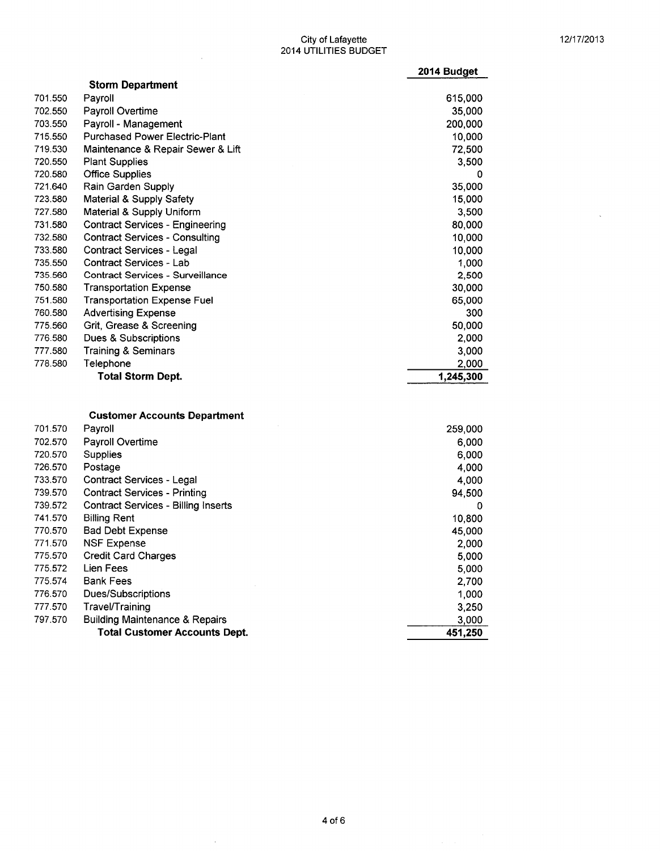$\bar{z}$ 

#### $\frac{12}{17}{2013}$ 2014 UTILITIES BUDGET

|         |                                         | 2014 Budget |
|---------|-----------------------------------------|-------------|
|         | <b>Storm Department</b>                 |             |
| 701.550 | Payroll                                 | 615,000     |
| 702.550 | Payroll Overtime                        | 35,000      |
| 703.550 | Payroll - Management                    | 200,000     |
| 715.550 | <b>Purchased Power Electric-Plant</b>   | 10,000      |
| 719.530 | Maintenance & Repair Sewer & Lift       | 72,500      |
| 720.550 | <b>Plant Supplies</b>                   | 3,500       |
| 720.580 | <b>Office Supplies</b>                  | 0           |
| 721.640 | Rain Garden Supply                      | 35,000      |
| 723.580 | <b>Material &amp; Supply Safety</b>     | 15,000      |
| 727.580 | Material & Supply Uniform               | 3,500       |
| 731.580 | <b>Contract Services - Engineering</b>  | 80,000      |
| 732.580 | <b>Contract Services - Consulting</b>   | 10,000      |
| 733.580 | <b>Contract Services - Legal</b>        | 10,000      |
| 735.550 | <b>Contract Services - Lab</b>          | 1,000       |
| 735.560 | <b>Contract Services - Surveillance</b> | 2,500       |
| 750.580 | <b>Transportation Expense</b>           | 30,000      |
| 751.580 | <b>Transportation Expense Fuel</b>      | 65,000      |
| 760.580 | <b>Advertising Expense</b>              | 300         |
| 775.560 | Grit, Grease & Screening                | 50,000      |
| 776.580 | Dues & Subscriptions                    | 2,000       |
| 777.580 | <b>Training &amp; Seminars</b>          | 3,000       |
| 778.580 | Telephone                               | 2,000       |
|         | <b>Total Storm Dept.</b>                | 1,245,300   |
|         |                                         |             |
|         | <b>Customer Accounts Department</b>     |             |
| 701.570 | Payroll                                 | 259,000     |
| 702.570 | Payroll Overtime                        | 6,000       |
| 720.570 | Supplies                                | 6,000       |
| 726.570 | Postage                                 | 4.000       |

 $\sim$ 

|         | <b>Total Customer Accounts Dept.</b>       | 451,250 |
|---------|--------------------------------------------|---------|
| 797.570 | <b>Building Maintenance &amp; Repairs</b>  | 3,000   |
| 777.570 | Travel/Training                            | 3,250   |
| 776.570 | Dues/Subscriptions                         | 1,000   |
|         |                                            | 2,700   |
| 775.574 | <b>Bank Fees</b>                           |         |
| 775.572 | Lien Fees                                  | 5,000   |
| 775.570 | <b>Credit Card Charges</b>                 | 5,000   |
| 771.570 | <b>NSF Expense</b>                         | 2,000   |
| 770.570 | <b>Bad Debt Expense</b>                    | 45,000  |
| 741.570 | <b>Billing Rent</b>                        | 10,800  |
| 739.572 | <b>Contract Services - Billing Inserts</b> | 0       |
| 739.570 | <b>Contract Services - Printing</b>        | 94,500  |
|         |                                            | 4,000   |
| 733.570 | Contract Services - Legal                  |         |

 $\mathcal{A}^{\mathcal{A}}$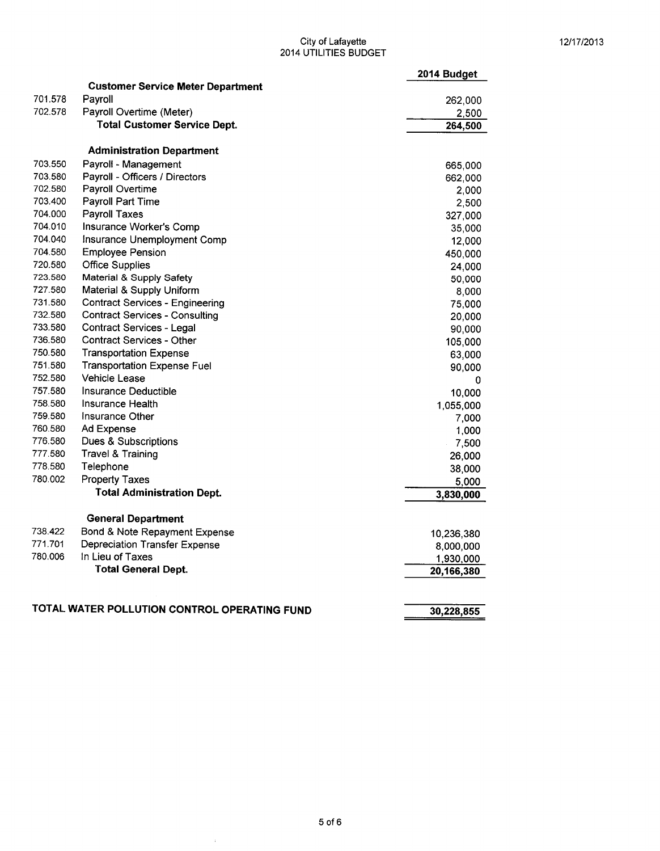### $\bigcirc$  City of Lafayette  $\bigcirc$  12/17/2013 2014 UTILITIES BUDGET

|         |                                              | 2014 Budget |
|---------|----------------------------------------------|-------------|
|         | <b>Customer Service Meter Department</b>     |             |
| 701.578 | Payroll                                      | 262,000     |
| 702.578 | Payroll Overtime (Meter)                     | 2,500       |
|         | <b>Total Customer Service Dept.</b>          | 264,500     |
|         | <b>Administration Department</b>             |             |
| 703.550 | Payroll - Management                         | 665,000     |
| 703.580 | Payroll - Officers / Directors               | 662,000     |
| 702.580 | Payroll Overtime                             | 2,000       |
| 703.400 | Payroll Part Time                            | 2,500       |
| 704.000 | <b>Payroll Taxes</b>                         | 327,000     |
| 704.010 | Insurance Worker's Comp                      | 35,000      |
| 704.040 | Insurance Unemployment Comp                  | 12,000      |
| 704.580 | <b>Employee Pension</b>                      | 450,000     |
| 720.580 | <b>Office Supplies</b>                       | 24,000      |
| 723.580 | Material & Supply Safety                     | 50,000      |
| 727.580 | Material & Supply Uniform                    | 8,000       |
| 731.580 | <b>Contract Services - Engineering</b>       | 75,000      |
| 732.580 | <b>Contract Services - Consulting</b>        | 20,000      |
| 733.580 | <b>Contract Services - Legal</b>             | 90,000      |
| 736.580 | <b>Contract Services - Other</b>             | 105,000     |
| 750.580 | <b>Transportation Expense</b>                | 63,000      |
| 751.580 | <b>Transportation Expense Fuel</b>           | 90,000      |
| 752.580 | <b>Vehicle Lease</b>                         | 0           |
| 757.580 | Insurance Deductible                         | 10,000      |
| 758.580 | Insurance Health                             | 1,055,000   |
| 759.580 | Insurance Other                              | 7,000       |
| 760.580 | Ad Expense                                   | 1,000       |
| 776.580 | Dues & Subscriptions                         | 7,500       |
| 777.580 | <b>Travel &amp; Training</b>                 | 26,000      |
| 778.580 | Telephone                                    | 38,000      |
| 780.002 | <b>Property Taxes</b>                        | 5,000       |
|         | <b>Total Administration Dept.</b>            | 3,830,000   |
|         | <b>General Department</b>                    |             |
| 738.422 | Bond & Note Repayment Expense                | 10,236,380  |
| 771.701 | <b>Depreciation Transfer Expense</b>         | 8,000,000   |
| 780.006 | In Lieu of Taxes                             | 1,930,000   |
|         | <b>Total General Dept.</b>                   | 20,166,380  |
|         |                                              |             |
|         | TOTAL WATER POLLUTION CONTROL OPERATING FUND | 30,228,855  |

 $\mathcal{A}^{\mathcal{A}}$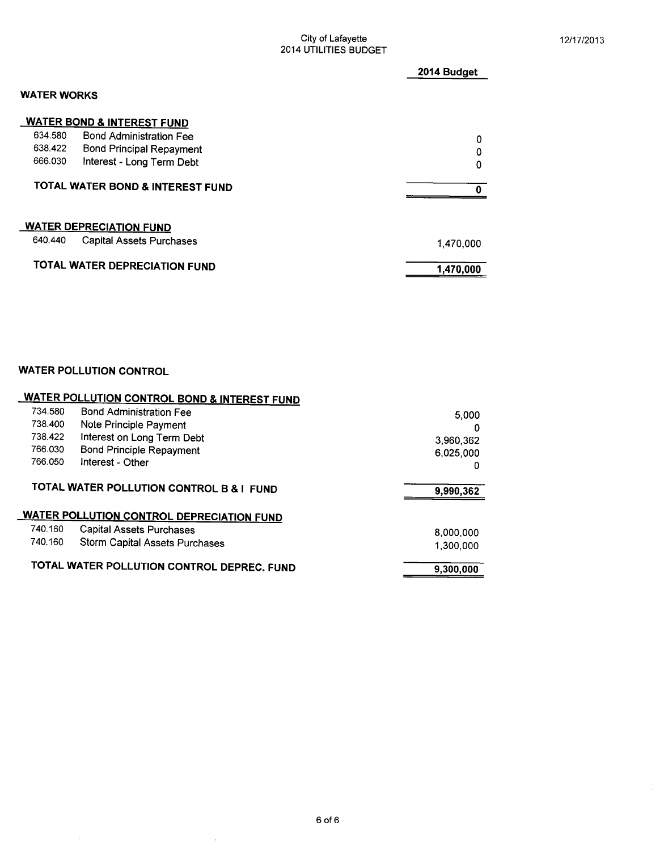### City of Lafayette **12/17/2013** 2014 UTILITIES BUDGET

|             |                                       | 2014 Budget |
|-------------|---------------------------------------|-------------|
| WATER WORKS |                                       |             |
|             | <b>WATER BOND &amp; INTEREST FUND</b> |             |
| 634.580     | <b>Bond Administration Fee</b>        | 0           |
| 638.422     | <b>Bond Principal Repayment</b>       | 0           |
| 666.030     | Interest - Long Term Debt             | 0           |
|             | TOTAL WATER BOND & INTEREST FUND      |             |
|             | <b>WATER DEPRECIATION FUND</b>        |             |
| 640.440     | <b>Capital Assets Purchases</b>       | 1,470,000   |
|             | <b>TOTAL WATER DEPRECIATION FUND</b>  | 1,470,000   |

## WATER POLLUTION CONTROL

|         | <b>WATER POLLUTION CONTROL BOND &amp; INTEREST FUND</b>                             |                        |
|---------|-------------------------------------------------------------------------------------|------------------------|
| 734.580 | <b>Bond Administration Fee</b>                                                      | 5.000                  |
| 738.400 | Note Principle Payment                                                              | 0                      |
| 738.422 | Interest on Long Term Debt                                                          | 3,960,362              |
| 766.030 | <b>Bond Principle Repayment</b>                                                     | 6.025.000              |
| 766.050 | Interest - Other                                                                    | o                      |
|         |                                                                                     |                        |
|         | TOTAL WATER POLLUTION CONTROL B & I FUND                                            | 9,990,362              |
|         |                                                                                     |                        |
| 740.160 | <b>WATER POLLUTION CONTROL DEPRECIATION FUND</b><br><b>Capital Assets Purchases</b> |                        |
| 740.160 | <b>Storm Capital Assets Purchases</b>                                               | 8,000,000<br>1,300,000 |

 $\sim$